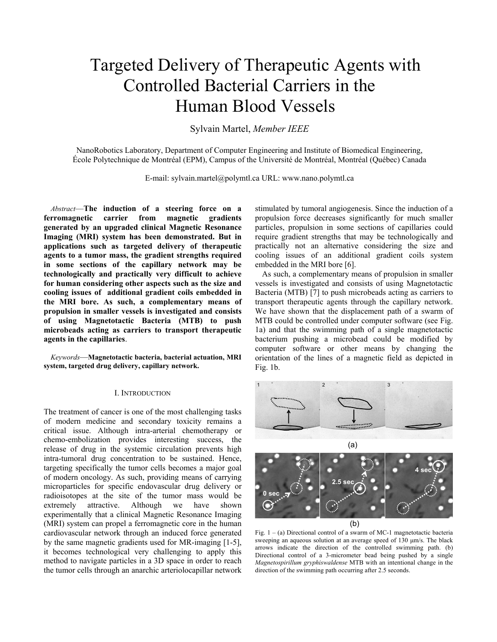# Targeted Delivery of Therapeutic Agents with Controlled Bacterial Carriers in the Human Blood Vessels

Sylvain Martel, *Member IEEE* 

NanoRobotics Laboratory, Department of Computer Engineering and Institute of Biomedical Engineering, École Polytechnique de Montréal (EPM), Campus of the Université de Montréal, Montréal (Québec) Canada

E-mail: sylvain.martel@polymtl.ca URL: www.nano.polymtl.ca

 *Abstract*—**The induction of a steering force on a ferromagnetic carrier from magnetic gradients generated by an upgraded clinical Magnetic Resonance Imaging (MRI) system has been demonstrated. But in applications such as targeted delivery of therapeutic agents to a tumor mass, the gradient strengths required in some sections of the capillary network may be technologically and practically very difficult to achieve for human considering other aspects such as the size and cooling issues of additional gradient coils embedded in the MRI bore. As such, a complementary means of propulsion in smaller vessels is investigated and consists of using Magnetotactic Bacteria (MTB) to push microbeads acting as carriers to transport therapeutic agents in the capillaries**.

 *Keywords*—**Magnetotactic bacteria, bacterial actuation, MRI system, targeted drug delivery, capillary network.** 

#### I. INTRODUCTION

The treatment of cancer is one of the most challenging tasks of modern medicine and secondary toxicity remains a critical issue. Although intra-arterial chemotherapy or chemo-embolization provides interesting success, the release of drug in the systemic circulation prevents high intra-tumoral drug concentration to be sustained. Hence, targeting specifically the tumor cells becomes a major goal of modern oncology. As such, providing means of carrying microparticles for specific endovascular drug delivery or radioisotopes at the site of the tumor mass would be extremely attractive. Although we have shown experimentally that a clinical Magnetic Resonance Imaging (MRI) system can propel a ferromagnetic core in the human cardiovascular network through an induced force generated by the same magnetic gradients used for MR-imaging [1-5], it becomes technological very challenging to apply this method to navigate particles in a 3D space in order to reach the tumor cells through an anarchic arteriolocapillar network

stimulated by tumoral angiogenesis. Since the induction of a propulsion force decreases significantly for much smaller particles, propulsion in some sections of capillaries could require gradient strengths that may be technologically and practically not an alternative considering the size and cooling issues of an additional gradient coils system embedded in the MRI bore [6].

 As such, a complementary means of propulsion in smaller vessels is investigated and consists of using Magnetotactic Bacteria (MTB) [7] to push microbeads acting as carriers to transport therapeutic agents through the capillary network. We have shown that the displacement path of a swarm of MTB could be controlled under computer software (see Fig. 1a) and that the swimming path of a single magnetotactic bacterium pushing a microbead could be modified by computer software or other means by changing the orientation of the lines of a magnetic field as depicted in Fig. 1b.





(b)

Fig.  $1 - (a)$  Directional control of a swarm of MC-1 magnetotactic bacteria sweeping an aqueous solution at an average speed of 130  $\mu$ m/s. The black arrows indicate the direction of the controlled swimming path. (b) Directional control of a 3-micrometer bead being pushed by a single *Magnetospirillum gryphiswaldense* MTB with an intentional change in the direction of the swimming path occurring after 2.5 seconds.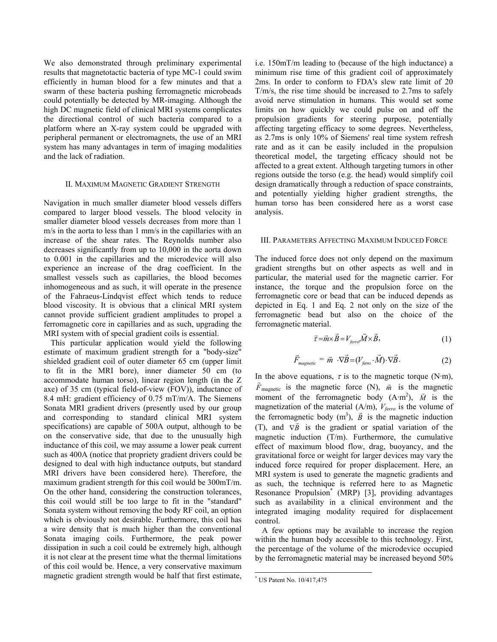We also demonstrated through preliminary experimental results that magnetotactic bacteria of type MC-1 could swim efficiently in human blood for a few minutes and that a swarm of these bacteria pushing ferromagnetic microbeads could potentially be detected by MR-imaging. Although the high DC magnetic field of clinical MRI systems complicates the directional control of such bacteria compared to a platform where an X-ray system could be upgraded with peripheral permanent or electromagnets, the use of an MRI system has many advantages in term of imaging modalities and the lack of radiation.

# II. MAXIMUM MAGNETIC GRADIENT STRENGTH

Navigation in much smaller diameter blood vessels differs compared to larger blood vessels. The blood velocity in smaller diameter blood vessels decreases from more than 1 m/s in the aorta to less than 1 mm/s in the capillaries with an increase of the shear rates. The Reynolds number also decreases significantly from up to 10,000 in the aorta down to 0.001 in the capillaries and the microdevice will also experience an increase of the drag coefficient. In the smallest vessels such as capillaries, the blood becomes inhomogeneous and as such, it will operate in the presence of the Fahraeus-Lindqvist effect which tends to reduce blood viscosity. It is obvious that a clinical MRI system cannot provide sufficient gradient amplitudes to propel a ferromagnetic core in capillaries and as such, upgrading the MRI system with of special gradient coils is essential.

 This particular application would yield the following estimate of maximum gradient strength for a "body-size" shielded gradient coil of outer diameter 65 cm (upper limit to fit in the MRI bore), inner diameter 50 cm (to accommodate human torso), linear region length (in the Z axe) of 35 cm (typical field-of-view (FOV)), inductance of 8.4 mH: gradient efficiency of 0.75 mT/m/A. The Siemens Sonata MRI gradient drivers (presently used by our group and corresponding to standard clinical MRI system specifications) are capable of 500A output, although to be on the conservative side, that due to the unusually high inductance of this coil, we may assume a lower peak current such as 400A (notice that propriety gradient drivers could be designed to deal with high inductance outputs, but standard MRI drivers have been considered here). Therefore, the maximum gradient strength for this coil would be 300mT/m. On the other hand, considering the construction tolerances, this coil would still be too large to fit in the "standard" Sonata system without removing the body RF coil, an option which is obviously not desirable. Furthermore, this coil has a wire density that is much higher than the conventional Sonata imaging coils. Furthermore, the peak power dissipation in such a coil could be extremely high, although it is not clear at the present time what the thermal limitations of this coil would be. Hence, a very conservative maximum magnetic gradient strength would be half that first estimate,

i.e. 150mT/m leading to (because of the high inductance) a minimum rise time of this gradient coil of approximately 2ms. In order to conform to FDA's slew rate limit of 20 T/m/s, the rise time should be increased to 2.7ms to safely avoid nerve stimulation in humans. This would set some limits on how quickly we could pulse on and off the propulsion gradients for steering purpose, potentially affecting targeting efficacy to some degrees. Nevertheless, as 2.7ms is only 10% of Siemens' real time system refresh rate and as it can be easily included in the propulsion theoretical model, the targeting efficacy should not be affected to a great extent. Although targeting tumors in other regions outside the torso (e.g. the head) would simplify coil design dramatically through a reduction of space constraints, and potentially yielding higher gradient strengths, the human torso has been considered here as a worst case analysis.

### III. PARAMETERS AFFECTING MAXIMUM INDUCED FORCE

The induced force does not only depend on the maximum gradient strengths but on other aspects as well and in particular, the material used for the magnetic carrier. For instance, the torque and the propulsion force on the ferromagnetic core or bead that can be induced depends as depicted in Eq. 1 and Eq. 2 not only on the size of the ferromagnetic bead but also on the choice of the ferromagnetic material.

$$
\vec{\tau} = \vec{m} \times \vec{B} = V_{\text{ferro}} \vec{M} \times \vec{B},\tag{1}
$$

$$
\vec{F}_{magnetic} = \vec{m} \cdot \nabla \vec{B} = (V_{\text{ferro}} \cdot \vec{M}) \cdot \nabla \vec{B}.
$$
 (2)

In the above equations,  $\tau$  is to the magnetic torque (N·m), *F*<sup> $i$ </sup><sub>magnetic</sub> is the magnetic force (N),  $\vec{m}$  is the magnetic moment of the ferromagnetic body  $(A \cdot m^2)$ ,  $\vec{M}$  is the magnetization of the material  $(A/m)$ ,  $V_{ferro}$  is the volume of the ferromagnetic body  $(m^3)$ ,  $\vec{B}$  is the magnetic induction (T), and  $\nabla \vec{B}$  is the gradient or spatial variation of the magnetic induction (T/m). Furthermore, the cumulative effect of maximum blood flow, drag, buoyancy, and the gravitational force or weight for larger devices may vary the induced force required for proper displacement. Here, an MRI system is used to generate the magnetic gradients and as such, the technique is referred here to as Magnetic Resonance Propulsion\* (MRP) [3], providing advantages such as availability in a clinical environment and the integrated imaging modality required for displacement control.

 A few options may be available to increase the region within the human body accessible to this technology. First, the percentage of the volume of the microdevice occupied by the ferromagnetic material may be increased beyond 50%

l

<sup>\*</sup> US Patent No. 10/417,475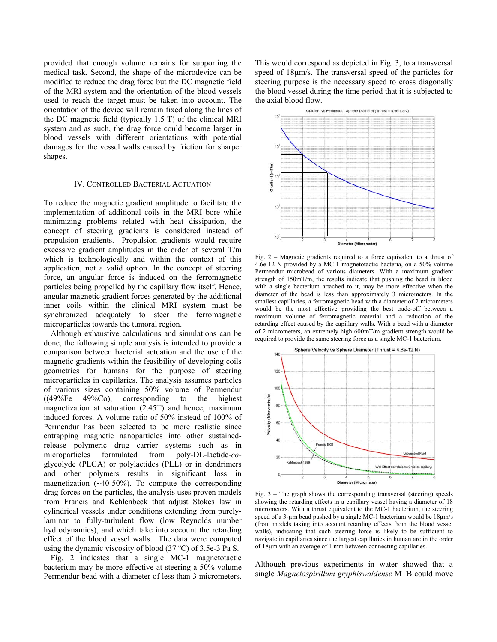provided that enough volume remains for supporting the medical task. Second, the shape of the microdevice can be modified to reduce the drag force but the DC magnetic field of the MRI system and the orientation of the blood vessels used to reach the target must be taken into account. The orientation of the device will remain fixed along the lines of the DC magnetic field (typically 1.5 T) of the clinical MRI system and as such, the drag force could become larger in blood vessels with different orientations with potential damages for the vessel walls caused by friction for sharper shapes.

## IV. CONTROLLED BACTERIAL ACTUATION

To reduce the magnetic gradient amplitude to facilitate the implementation of additional coils in the MRI bore while minimizing problems related with heat dissipation, the concept of steering gradients is considered instead of propulsion gradients. Propulsion gradients would require excessive gradient amplitudes in the order of several T/m which is technologically and within the context of this application, not a valid option. In the concept of steering force, an angular force is induced on the ferromagnetic particles being propelled by the capillary flow itself. Hence, angular magnetic gradient forces generated by the additional inner coils within the clinical MRI system must be synchronized adequately to steer the ferromagnetic microparticles towards the tumoral region.

 Although exhaustive calculations and simulations can be done, the following simple analysis is intended to provide a comparison between bacterial actuation and the use of the magnetic gradients within the feasibility of developing coils geometries for humans for the purpose of steering microparticles in capillaries. The analysis assumes particles of various sizes containing 50% volume of Permendur  $((49\%Fe 49\%Co)$ , corresponding to the highest magnetization at saturation (2.45T) and hence, maximum induced forces. A volume ratio of 50% instead of 100% of Permendur has been selected to be more realistic since entrapping magnetic nanoparticles into other sustainedrelease polymeric drug carrier systems such as in microparticles formulated from poly-DL-lactide-*co*glycolyde (PLGA) or polylactides (PLL) or in dendrimers and other polymers results in significant loss in magnetization (∼40-50%). To compute the corresponding drag forces on the particles, the analysis uses proven models from Francis and Kehlenbeck that adjust Stokes law in cylindrical vessels under conditions extending from purelylaminar to fully-turbulent flow (low Reynolds number hydrodynamics), and which take into account the retarding effect of the blood vessel walls. The data were computed using the dynamic viscosity of blood  $(37 °C)$  of 3.5e-3 Pa S.

 Fig. 2 indicates that a single MC-1 magnetotactic bacterium may be more effective at steering a 50% volume Permendur bead with a diameter of less than 3 micrometers.

This would correspond as depicted in Fig. 3, to a transversal speed of 18µm/s. The transversal speed of the particles for steering purpose is the necessary speed to cross diagonally the blood vessel during the time period that it is subjected to the axial blood flow.



Fig. 2 – Magnetic gradients required to a force equivalent to a thrust of 4.6e-12 N provided by a MC-1 magnetotactic bacteria, on a 50% volume Permendur microbead of various diameters. With a maximum gradient strength of 150mT/m, the results indicate that pushing the bead in blood with a single bacterium attached to it, may be more effective when the diameter of the bead is less than approximately 3 micrometers. In the smallest capillaries, a ferromagnetic bead with a diameter of 2 micrometers would be the most effective providing the best trade-off between a maximum volume of ferromagnetic material and a reduction of the retarding effect caused by the capillary walls. With a bead with a diameter of 2 micrometers, an extremely high 600mT/m gradient strength would be required to provide the same steering force as a single MC-1 bacterium.



Fig.  $3$  – The graph shows the corresponding transversal (steering) speeds showing the retarding effects in a capillary vessel having a diameter of 18 micrometers. With a thrust equivalent to the MC-1 bacterium, the steering speed of a 3-µm bead pushed by a single MC-1 bacterium would be 18µm/s (from models taking into account retarding effects from the blood vessel walls), indicating that such steering force is likely to be sufficient to navigate in capillaries since the largest capillaries in human are in the order of 18µm with an average of 1 mm between connecting capillaries.

Although previous experiments in water showed that a single *Magnetospirillum gryphiswaldense* MTB could move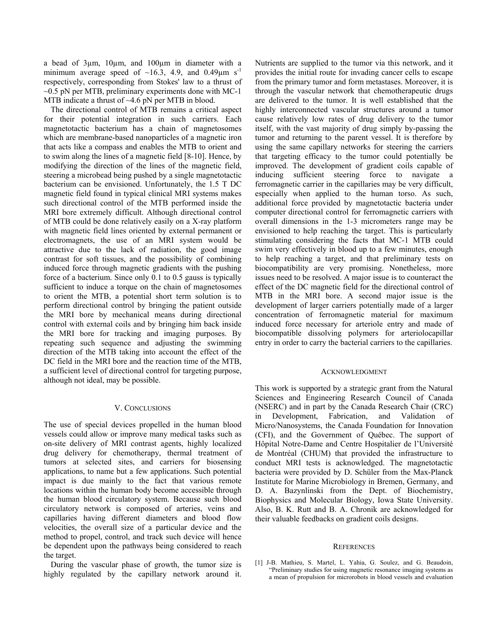a bead of 3µm, 10µm, and 100µm in diameter with a minimum average speed of  $\sim 16.3$ , 4.9, and 0.49 $\mu$ m s<sup>-1</sup> respectively, corresponding from Stokes' law to a thrust of  $\sim$ 0.5 pN per MTB, preliminary experiments done with MC-1 MTB indicate a thrust of ~4.6 pN per MTB in blood.

 The directional control of MTB remains a critical aspect for their potential integration in such carriers. Each magnetotactic bacterium has a chain of magnetosomes which are membrane-based nanoparticles of a magnetic iron that acts like a compass and enables the MTB to orient and to swim along the lines of a magnetic field [8-10]. Hence, by modifying the direction of the lines of the magnetic field, steering a microbead being pushed by a single magnetotactic bacterium can be envisioned. Unfortunately, the 1.5 T DC magnetic field found in typical clinical MRI systems makes such directional control of the MTB performed inside the MRI bore extremely difficult. Although directional control of MTB could be done relatively easily on a X-ray platform with magnetic field lines oriented by external permanent or electromagnets, the use of an MRI system would be attractive due to the lack of radiation, the good image contrast for soft tissues, and the possibility of combining induced force through magnetic gradients with the pushing force of a bacterium. Since only 0.1 to 0.5 gauss is typically sufficient to induce a torque on the chain of magnetosomes to orient the MTB, a potential short term solution is to perform directional control by bringing the patient outside the MRI bore by mechanical means during directional control with external coils and by bringing him back inside the MRI bore for tracking and imaging purposes. By repeating such sequence and adjusting the swimming direction of the MTB taking into account the effect of the DC field in the MRI bore and the reaction time of the MTB, a sufficient level of directional control for targeting purpose, although not ideal, may be possible.

## V. CONCLUSIONS

The use of special devices propelled in the human blood vessels could allow or improve many medical tasks such as on-site delivery of MRI contrast agents, highly localized drug delivery for chemotherapy, thermal treatment of tumors at selected sites, and carriers for biosensing applications, to name but a few applications. Such potential impact is due mainly to the fact that various remote locations within the human body become accessible through the human blood circulatory system. Because such blood circulatory network is composed of arteries, veins and capillaries having different diameters and blood flow velocities, the overall size of a particular device and the method to propel, control, and track such device will hence be dependent upon the pathways being considered to reach the target.

 During the vascular phase of growth, the tumor size is highly regulated by the capillary network around it.

Nutrients are supplied to the tumor via this network, and it provides the initial route for invading cancer cells to escape from the primary tumor and form metastases. Moreover, it is through the vascular network that chemotherapeutic drugs are delivered to the tumor. It is well established that the highly interconnected vascular structures around a tumor cause relatively low rates of drug delivery to the tumor itself, with the vast majority of drug simply by-passing the tumor and returning to the parent vessel. It is therefore by using the same capillary networks for steering the carriers that targeting efficacy to the tumor could potentially be improved. The development of gradient coils capable of inducing sufficient steering force to navigate a ferromagnetic carrier in the capillaries may be very difficult, especially when applied to the human torso. As such, additional force provided by magnetotactic bacteria under computer directional control for ferromagnetic carriers with overall dimensions in the 1-3 micrometers range may be envisioned to help reaching the target. This is particularly stimulating considering the facts that MC-1 MTB could swim very effectively in blood up to a few minutes, enough to help reaching a target, and that preliminary tests on biocompatibility are very promising. Nonetheless, more issues need to be resolved. A major issue is to counteract the effect of the DC magnetic field for the directional control of MTB in the MRI bore. A second major issue is the development of larger carriers potentially made of a larger concentration of ferromagnetic material for maximum induced force necessary for arteriole entry and made of biocompatible dissolving polymers for arteriolocapillar entry in order to carry the bacterial carriers to the capillaries.

## ACKNOWLEDGMENT

This work is supported by a strategic grant from the Natural Sciences and Engineering Research Council of Canada (NSERC) and in part by the Canada Research Chair (CRC) in Development, Fabrication, and Validation of Micro/Nanosystems, the Canada Foundation for Innovation (CFI), and the Government of Québec. The support of Hôpital Notre-Dame and Centre Hospitalier de l'Université de Montréal (CHUM) that provided the infrastructure to conduct MRI tests is acknowledged. The magnetotactic bacteria were provided by D. Schüler from the Max-Planck Institute for Marine Microbiology in Bremen, Germany, and D. A. Bazynlinski from the Dept. of Biochemistry, Biophysics and Molecular Biology, Iowa State University. Also, B. K. Rutt and B. A. Chronik are acknowledged for their valuable feedbacks on gradient coils designs.

### **REFERENCES**

[1] J-B. Mathieu, S. Martel, L. Yahia, G. Soulez, and G. Beaudoin, "Preliminary studies for using magnetic resonance imaging systems as a mean of propulsion for microrobots in blood vessels and evaluation